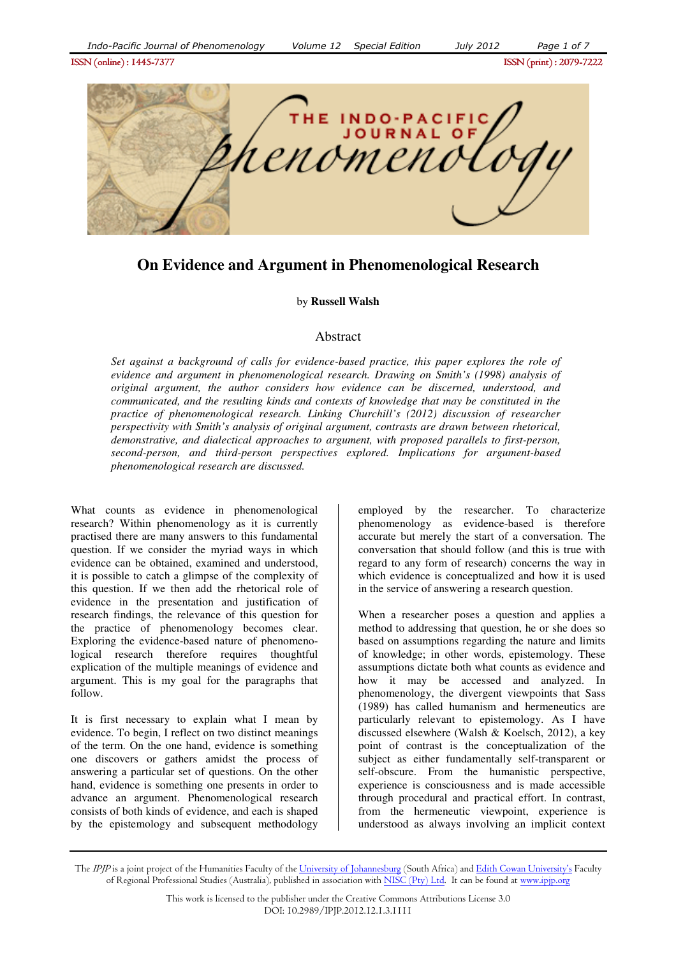

# **On Evidence and Argument in Phenomenological Research**

by **Russell Walsh** 

#### Abstract

*Set against a background of calls for evidence-based practice, this paper explores the role of evidence and argument in phenomenological research. Drawing on Smith's (1998) analysis of original argument, the author considers how evidence can be discerned, understood, and communicated, and the resulting kinds and contexts of knowledge that may be constituted in the practice of phenomenological research. Linking Churchill's (2012) discussion of researcher perspectivity with Smith's analysis of original argument, contrasts are drawn between rhetorical, demonstrative, and dialectical approaches to argument, with proposed parallels to first-person, second-person, and third-person perspectives explored. Implications for argument-based phenomenological research are discussed.* 

What counts as evidence in phenomenological research? Within phenomenology as it is currently practised there are many answers to this fundamental question. If we consider the myriad ways in which evidence can be obtained, examined and understood, it is possible to catch a glimpse of the complexity of this question. If we then add the rhetorical role of evidence in the presentation and justification of research findings, the relevance of this question for the practice of phenomenology becomes clear. Exploring the evidence-based nature of phenomenological research therefore requires thoughtful explication of the multiple meanings of evidence and argument. This is my goal for the paragraphs that follow.

It is first necessary to explain what I mean by evidence. To begin, I reflect on two distinct meanings of the term. On the one hand, evidence is something one discovers or gathers amidst the process of answering a particular set of questions. On the other hand, evidence is something one presents in order to advance an argument. Phenomenological research consists of both kinds of evidence, and each is shaped by the epistemology and subsequent methodology employed by the researcher. To characterize phenomenology as evidence-based is therefore accurate but merely the start of a conversation. The conversation that should follow (and this is true with regard to any form of research) concerns the way in which evidence is conceptualized and how it is used in the service of answering a research question.

When a researcher poses a question and applies a method to addressing that question, he or she does so based on assumptions regarding the nature and limits of knowledge; in other words, epistemology. These assumptions dictate both what counts as evidence and how it may be accessed and analyzed. In phenomenology, the divergent viewpoints that Sass (1989) has called humanism and hermeneutics are particularly relevant to epistemology. As I have discussed elsewhere (Walsh & Koelsch, 2012), a key point of contrast is the conceptualization of the subject as either fundamentally self-transparent or self-obscure. From the humanistic perspective, experience is consciousness and is made accessible through procedural and practical effort. In contrast, from the hermeneutic viewpoint, experience is understood as always involving an implicit context

The *IPJP* is a joint project of the Humanities Faculty of the <u>University of Johannesburg</u> (South Africa) and <u>Edith Cowan University's</u> Faculty of Regional Professional Studies (Australia), published in association with <u>NISC (Pty) Ltd</u>. It can be found at <u>www.ipjp.org</u>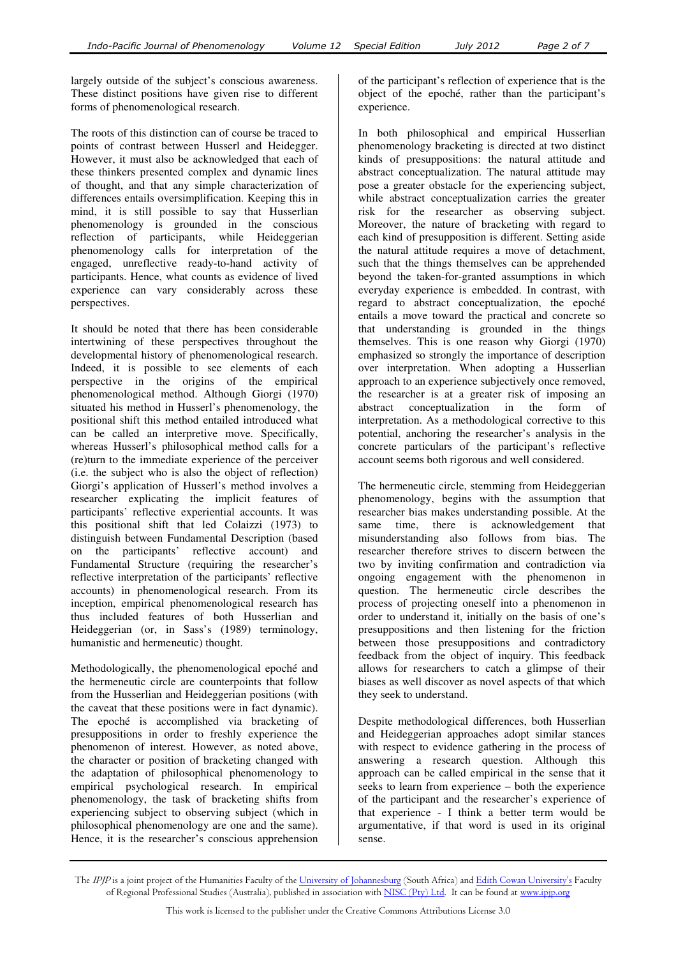largely outside of the subject's conscious awareness. These distinct positions have given rise to different forms of phenomenological research.

The roots of this distinction can of course be traced to points of contrast between Husserl and Heidegger. However, it must also be acknowledged that each of these thinkers presented complex and dynamic lines of thought, and that any simple characterization of differences entails oversimplification. Keeping this in mind, it is still possible to say that Husserlian phenomenology is grounded in the conscious reflection of participants, while Heideggerian phenomenology calls for interpretation of the engaged, unreflective ready-to-hand activity of participants. Hence, what counts as evidence of lived experience can vary considerably across these perspectives.

It should be noted that there has been considerable intertwining of these perspectives throughout the developmental history of phenomenological research. Indeed, it is possible to see elements of each perspective in the origins of the empirical phenomenological method. Although Giorgi (1970) situated his method in Husserl's phenomenology, the positional shift this method entailed introduced what can be called an interpretive move. Specifically, whereas Husserl's philosophical method calls for a (re)turn to the immediate experience of the perceiver (i.e. the subject who is also the object of reflection) Giorgi's application of Husserl's method involves a researcher explicating the implicit features of participants' reflective experiential accounts. It was this positional shift that led Colaizzi (1973) to distinguish between Fundamental Description (based on the participants' reflective account) and Fundamental Structure (requiring the researcher's reflective interpretation of the participants' reflective accounts) in phenomenological research. From its inception, empirical phenomenological research has thus included features of both Husserlian and Heideggerian (or, in Sass's (1989) terminology, humanistic and hermeneutic) thought.

Methodologically, the phenomenological epoché and the hermeneutic circle are counterpoints that follow from the Husserlian and Heideggerian positions (with the caveat that these positions were in fact dynamic). The epoché is accomplished via bracketing of presuppositions in order to freshly experience the phenomenon of interest. However, as noted above, the character or position of bracketing changed with the adaptation of philosophical phenomenology to empirical psychological research. In empirical phenomenology, the task of bracketing shifts from experiencing subject to observing subject (which in philosophical phenomenology are one and the same). Hence, it is the researcher's conscious apprehension

of the participant's reflection of experience that is the object of the epoché, rather than the participant's experience.

In both philosophical and empirical Husserlian phenomenology bracketing is directed at two distinct kinds of presuppositions: the natural attitude and abstract conceptualization. The natural attitude may pose a greater obstacle for the experiencing subject, while abstract conceptualization carries the greater risk for the researcher as observing subject. Moreover, the nature of bracketing with regard to each kind of presupposition is different. Setting aside the natural attitude requires a move of detachment, such that the things themselves can be apprehended beyond the taken-for-granted assumptions in which everyday experience is embedded. In contrast, with regard to abstract conceptualization, the epoché entails a move toward the practical and concrete so that understanding is grounded in the things themselves. This is one reason why Giorgi (1970) emphasized so strongly the importance of description over interpretation. When adopting a Husserlian approach to an experience subjectively once removed, the researcher is at a greater risk of imposing an abstract conceptualization in the form of interpretation. As a methodological corrective to this potential, anchoring the researcher's analysis in the concrete particulars of the participant's reflective account seems both rigorous and well considered.

The hermeneutic circle, stemming from Heideggerian phenomenology, begins with the assumption that researcher bias makes understanding possible. At the same time, there is acknowledgement that misunderstanding also follows from bias. The researcher therefore strives to discern between the two by inviting confirmation and contradiction via ongoing engagement with the phenomenon in question. The hermeneutic circle describes the process of projecting oneself into a phenomenon in order to understand it, initially on the basis of one's presuppositions and then listening for the friction between those presuppositions and contradictory feedback from the object of inquiry. This feedback allows for researchers to catch a glimpse of their biases as well discover as novel aspects of that which they seek to understand.

Despite methodological differences, both Husserlian and Heideggerian approaches adopt similar stances with respect to evidence gathering in the process of answering a research question. Although this approach can be called empirical in the sense that it seeks to learn from experience – both the experience of the participant and the researcher's experience of that experience - I think a better term would be argumentative, if that word is used in its original sense.

The *IPJP* is a joint project of the Humanities Faculty of the <u>University of Johannesburg</u> (South Africa) and <u>Edith Cowan University's</u> Faculty of Regional Professional Studies (Australia), published in association with <u>NISC (Pty) Ltd</u>. It can be found at <u>www.ipjp.org</u>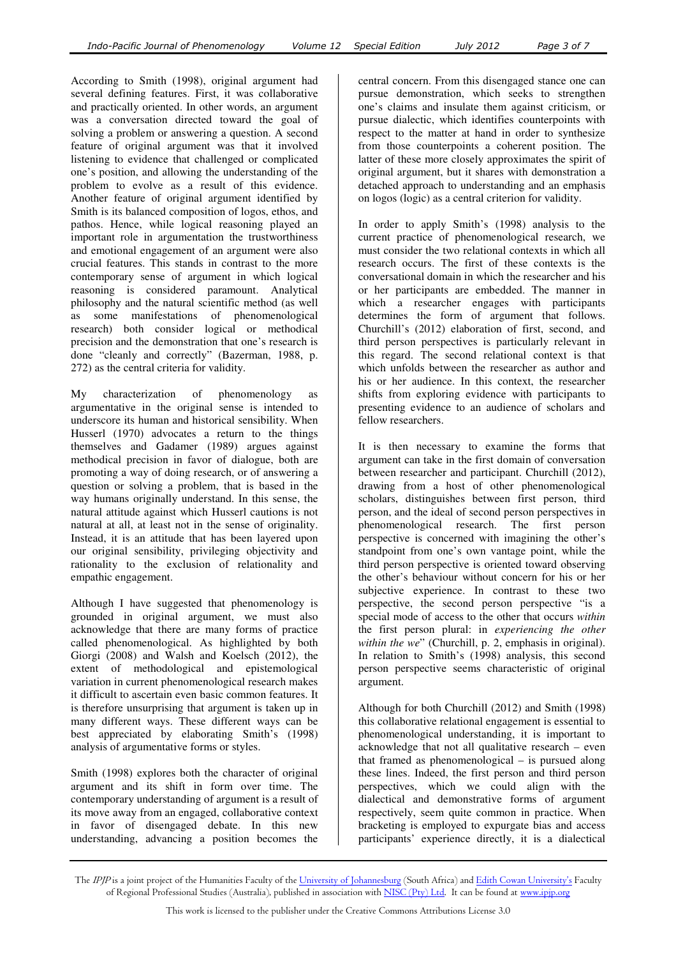According to Smith (1998), original argument had several defining features. First, it was collaborative and practically oriented. In other words, an argument was a conversation directed toward the goal of solving a problem or answering a question. A second feature of original argument was that it involved listening to evidence that challenged or complicated one's position, and allowing the understanding of the problem to evolve as a result of this evidence. Another feature of original argument identified by Smith is its balanced composition of logos, ethos, and pathos. Hence, while logical reasoning played an important role in argumentation the trustworthiness and emotional engagement of an argument were also crucial features. This stands in contrast to the more contemporary sense of argument in which logical reasoning is considered paramount. Analytical philosophy and the natural scientific method (as well as some manifestations of phenomenological research) both consider logical or methodical precision and the demonstration that one's research is done "cleanly and correctly" (Bazerman, 1988, p. 272) as the central criteria for validity.

My characterization of phenomenology as argumentative in the original sense is intended to underscore its human and historical sensibility. When Husserl (1970) advocates a return to the things themselves and Gadamer (1989) argues against methodical precision in favor of dialogue, both are promoting a way of doing research, or of answering a question or solving a problem, that is based in the way humans originally understand. In this sense, the natural attitude against which Husserl cautions is not natural at all, at least not in the sense of originality. Instead, it is an attitude that has been layered upon our original sensibility, privileging objectivity and rationality to the exclusion of relationality and empathic engagement.

Although I have suggested that phenomenology is grounded in original argument, we must also acknowledge that there are many forms of practice called phenomenological. As highlighted by both Giorgi (2008) and Walsh and Koelsch (2012), the extent of methodological and epistemological variation in current phenomenological research makes it difficult to ascertain even basic common features. It is therefore unsurprising that argument is taken up in many different ways. These different ways can be best appreciated by elaborating Smith's (1998) analysis of argumentative forms or styles.

Smith (1998) explores both the character of original argument and its shift in form over time. The contemporary understanding of argument is a result of its move away from an engaged, collaborative context in favor of disengaged debate. In this new understanding, advancing a position becomes the

central concern. From this disengaged stance one can pursue demonstration, which seeks to strengthen one's claims and insulate them against criticism, or pursue dialectic, which identifies counterpoints with respect to the matter at hand in order to synthesize from those counterpoints a coherent position. The latter of these more closely approximates the spirit of original argument, but it shares with demonstration a detached approach to understanding and an emphasis on logos (logic) as a central criterion for validity.

In order to apply Smith's (1998) analysis to the current practice of phenomenological research, we must consider the two relational contexts in which all research occurs. The first of these contexts is the conversational domain in which the researcher and his or her participants are embedded. The manner in which a researcher engages with participants determines the form of argument that follows. Churchill's (2012) elaboration of first, second, and third person perspectives is particularly relevant in this regard. The second relational context is that which unfolds between the researcher as author and his or her audience. In this context, the researcher shifts from exploring evidence with participants to presenting evidence to an audience of scholars and fellow researchers.

It is then necessary to examine the forms that argument can take in the first domain of conversation between researcher and participant. Churchill (2012), drawing from a host of other phenomenological scholars, distinguishes between first person, third person, and the ideal of second person perspectives in phenomenological research. The first person perspective is concerned with imagining the other's standpoint from one's own vantage point, while the third person perspective is oriented toward observing the other's behaviour without concern for his or her subjective experience. In contrast to these two perspective, the second person perspective "is a special mode of access to the other that occurs *within* the first person plural: in *experiencing the other within the we*" (Churchill, p. 2, emphasis in original). In relation to Smith's (1998) analysis, this second person perspective seems characteristic of original argument.

Although for both Churchill (2012) and Smith (1998) this collaborative relational engagement is essential to phenomenological understanding, it is important to acknowledge that not all qualitative research – even that framed as phenomenological – is pursued along these lines. Indeed, the first person and third person perspectives, which we could align with the dialectical and demonstrative forms of argument respectively, seem quite common in practice. When bracketing is employed to expurgate bias and access participants' experience directly, it is a dialectical

The IPJP is a joint project of the Humanities Faculty of the University of Johannesburg (South Africa) and Edith Cowan University's Faculty of Regional Professional Studies (Australia), published in association with NISC (Pty) Ltd. It can be found at www.ipjp.org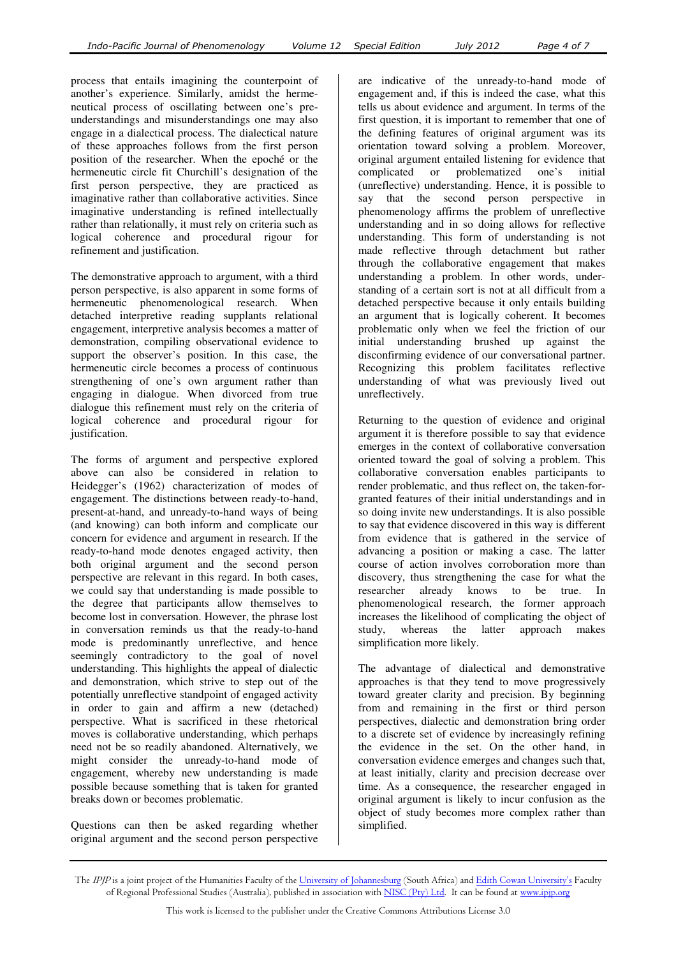process that entails imagining the counterpoint of another's experience. Similarly, amidst the hermeneutical process of oscillating between one's preunderstandings and misunderstandings one may also engage in a dialectical process. The dialectical nature of these approaches follows from the first person position of the researcher. When the epoché or the hermeneutic circle fit Churchill's designation of the first person perspective, they are practiced as imaginative rather than collaborative activities. Since imaginative understanding is refined intellectually rather than relationally, it must rely on criteria such as logical coherence and procedural rigour for refinement and justification.

The demonstrative approach to argument, with a third person perspective, is also apparent in some forms of hermeneutic phenomenological research. When detached interpretive reading supplants relational engagement, interpretive analysis becomes a matter of demonstration, compiling observational evidence to support the observer's position. In this case, the hermeneutic circle becomes a process of continuous strengthening of one's own argument rather than engaging in dialogue. When divorced from true dialogue this refinement must rely on the criteria of logical coherence and procedural rigour for justification.

The forms of argument and perspective explored above can also be considered in relation to Heidegger's (1962) characterization of modes of engagement. The distinctions between ready-to-hand, present-at-hand, and unready-to-hand ways of being (and knowing) can both inform and complicate our concern for evidence and argument in research. If the ready-to-hand mode denotes engaged activity, then both original argument and the second person perspective are relevant in this regard. In both cases, we could say that understanding is made possible to the degree that participants allow themselves to become lost in conversation. However, the phrase lost in conversation reminds us that the ready-to-hand mode is predominantly unreflective, and hence seemingly contradictory to the goal of novel understanding. This highlights the appeal of dialectic and demonstration, which strive to step out of the potentially unreflective standpoint of engaged activity in order to gain and affirm a new (detached) perspective. What is sacrificed in these rhetorical moves is collaborative understanding, which perhaps need not be so readily abandoned. Alternatively, we might consider the unready-to-hand mode of engagement, whereby new understanding is made possible because something that is taken for granted breaks down or becomes problematic.

Questions can then be asked regarding whether original argument and the second person perspective

are indicative of the unready-to-hand mode of engagement and, if this is indeed the case, what this tells us about evidence and argument. In terms of the first question, it is important to remember that one of the defining features of original argument was its orientation toward solving a problem. Moreover, original argument entailed listening for evidence that complicated or problematized one's initial (unreflective) understanding. Hence, it is possible to say that the second person perspective in phenomenology affirms the problem of unreflective understanding and in so doing allows for reflective understanding. This form of understanding is not made reflective through detachment but rather through the collaborative engagement that makes understanding a problem. In other words, understanding of a certain sort is not at all difficult from a detached perspective because it only entails building an argument that is logically coherent. It becomes problematic only when we feel the friction of our initial understanding brushed up against the disconfirming evidence of our conversational partner. Recognizing this problem facilitates reflective understanding of what was previously lived out unreflectively.

Returning to the question of evidence and original argument it is therefore possible to say that evidence emerges in the context of collaborative conversation oriented toward the goal of solving a problem. This collaborative conversation enables participants to render problematic, and thus reflect on, the taken-forgranted features of their initial understandings and in so doing invite new understandings. It is also possible to say that evidence discovered in this way is different from evidence that is gathered in the service of advancing a position or making a case. The latter course of action involves corroboration more than discovery, thus strengthening the case for what the researcher already knows to be true. In phenomenological research, the former approach increases the likelihood of complicating the object of study, whereas the latter approach makes simplification more likely.

The advantage of dialectical and demonstrative approaches is that they tend to move progressively toward greater clarity and precision. By beginning from and remaining in the first or third person perspectives, dialectic and demonstration bring order to a discrete set of evidence by increasingly refining the evidence in the set. On the other hand, in conversation evidence emerges and changes such that, at least initially, clarity and precision decrease over time. As a consequence, the researcher engaged in original argument is likely to incur confusion as the object of study becomes more complex rather than simplified.

The *IPJP* is a joint project of the Humanities Faculty of the <u>University of Johannesburg</u> (South Africa) and <u>Edith Cowan University's</u> Faculty of Regional Professional Studies (Australia), published in association with <u>NISC (Pty) Ltd</u>. It can be found at <u>www.ipjp.org</u>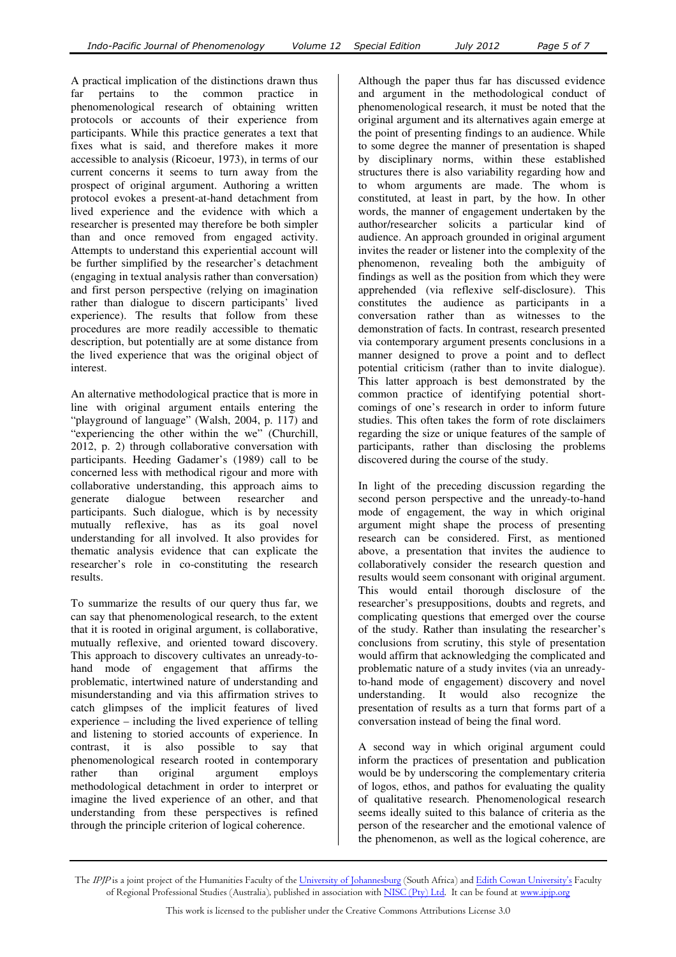A practical implication of the distinctions drawn thus far pertains to the common practice in phenomenological research of obtaining written protocols or accounts of their experience from participants. While this practice generates a text that fixes what is said, and therefore makes it more accessible to analysis (Ricoeur, 1973), in terms of our current concerns it seems to turn away from the prospect of original argument. Authoring a written protocol evokes a present-at-hand detachment from lived experience and the evidence with which a researcher is presented may therefore be both simpler than and once removed from engaged activity. Attempts to understand this experiential account will be further simplified by the researcher's detachment (engaging in textual analysis rather than conversation) and first person perspective (relying on imagination rather than dialogue to discern participants' lived experience). The results that follow from these procedures are more readily accessible to thematic description, but potentially are at some distance from the lived experience that was the original object of interest.

An alternative methodological practice that is more in line with original argument entails entering the "playground of language" (Walsh, 2004, p. 117) and "experiencing the other within the we" (Churchill, 2012, p. 2) through collaborative conversation with participants. Heeding Gadamer's (1989) call to be concerned less with methodical rigour and more with collaborative understanding, this approach aims to generate dialogue between researcher and participants. Such dialogue, which is by necessity mutually reflexive, has as its goal novel understanding for all involved. It also provides for thematic analysis evidence that can explicate the researcher's role in co-constituting the research results.

To summarize the results of our query thus far, we can say that phenomenological research, to the extent that it is rooted in original argument, is collaborative, mutually reflexive, and oriented toward discovery. This approach to discovery cultivates an unready-tohand mode of engagement that affirms the problematic, intertwined nature of understanding and misunderstanding and via this affirmation strives to catch glimpses of the implicit features of lived experience – including the lived experience of telling and listening to storied accounts of experience. In contrast, it is also possible to say that phenomenological research rooted in contemporary rather than original argument employs methodological detachment in order to interpret or imagine the lived experience of an other, and that understanding from these perspectives is refined through the principle criterion of logical coherence.

Although the paper thus far has discussed evidence and argument in the methodological conduct of phenomenological research, it must be noted that the original argument and its alternatives again emerge at the point of presenting findings to an audience. While to some degree the manner of presentation is shaped by disciplinary norms, within these established structures there is also variability regarding how and to whom arguments are made. The whom is constituted, at least in part, by the how. In other words, the manner of engagement undertaken by the author/researcher solicits a particular kind of audience. An approach grounded in original argument invites the reader or listener into the complexity of the phenomenon, revealing both the ambiguity of findings as well as the position from which they were apprehended (via reflexive self-disclosure). This constitutes the audience as participants in a conversation rather than as witnesses to the demonstration of facts. In contrast, research presented via contemporary argument presents conclusions in a manner designed to prove a point and to deflect potential criticism (rather than to invite dialogue). This latter approach is best demonstrated by the common practice of identifying potential shortcomings of one's research in order to inform future studies. This often takes the form of rote disclaimers regarding the size or unique features of the sample of participants, rather than disclosing the problems discovered during the course of the study.

In light of the preceding discussion regarding the second person perspective and the unready-to-hand mode of engagement, the way in which original argument might shape the process of presenting research can be considered. First, as mentioned above, a presentation that invites the audience to collaboratively consider the research question and results would seem consonant with original argument. This would entail thorough disclosure of the researcher's presuppositions, doubts and regrets, and complicating questions that emerged over the course of the study. Rather than insulating the researcher's conclusions from scrutiny, this style of presentation would affirm that acknowledging the complicated and problematic nature of a study invites (via an unreadyto-hand mode of engagement) discovery and novel understanding. It would also recognize the presentation of results as a turn that forms part of a conversation instead of being the final word.

A second way in which original argument could inform the practices of presentation and publication would be by underscoring the complementary criteria of logos, ethos, and pathos for evaluating the quality of qualitative research. Phenomenological research seems ideally suited to this balance of criteria as the person of the researcher and the emotional valence of the phenomenon, as well as the logical coherence, are

The IPJP is a joint project of the Humanities Faculty of the University of Johannesburg (South Africa) and Edith Cowan University's Faculty of Regional Professional Studies (Australia), published in association with NISC (Pty) Ltd. It can be found at www.ipjp.org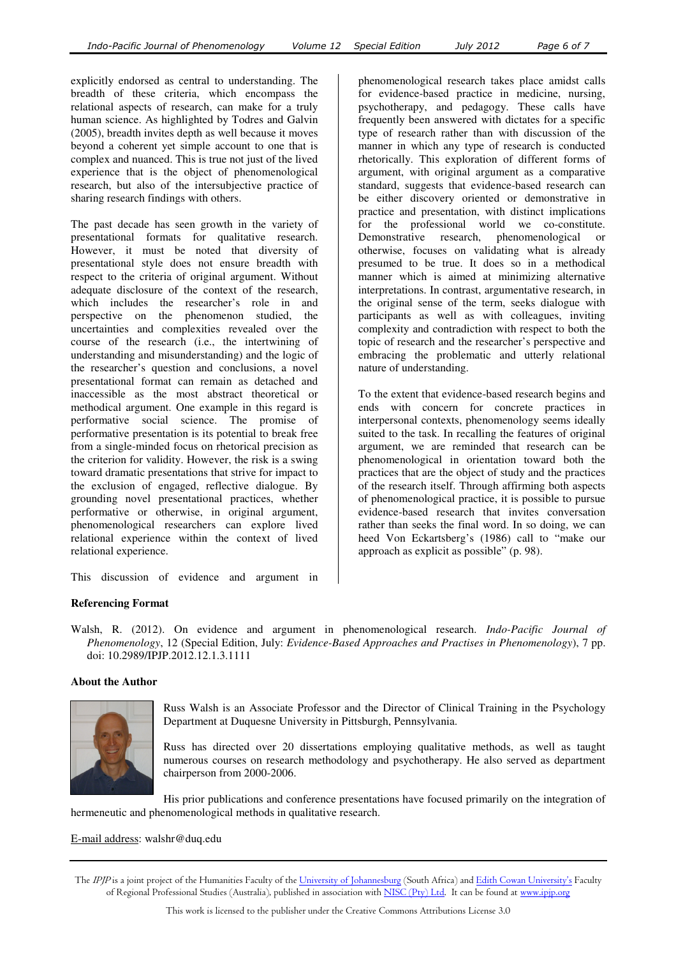explicitly endorsed as central to understanding. The breadth of these criteria, which encompass the relational aspects of research, can make for a truly human science. As highlighted by Todres and Galvin (2005), breadth invites depth as well because it moves beyond a coherent yet simple account to one that is complex and nuanced. This is true not just of the lived experience that is the object of phenomenological research, but also of the intersubjective practice of sharing research findings with others.

The past decade has seen growth in the variety of presentational formats for qualitative research. However, it must be noted that diversity of presentational style does not ensure breadth with respect to the criteria of original argument. Without adequate disclosure of the context of the research, which includes the researcher's role in and perspective on the phenomenon studied, the uncertainties and complexities revealed over the course of the research (i.e., the intertwining of understanding and misunderstanding) and the logic of the researcher's question and conclusions, a novel presentational format can remain as detached and inaccessible as the most abstract theoretical or methodical argument. One example in this regard is performative social science. The promise of performative presentation is its potential to break free from a single-minded focus on rhetorical precision as the criterion for validity. However, the risk is a swing toward dramatic presentations that strive for impact to the exclusion of engaged, reflective dialogue. By grounding novel presentational practices, whether performative or otherwise, in original argument, phenomenological researchers can explore lived relational experience within the context of lived relational experience.

This discussion of evidence and argument in

phenomenological research takes place amidst calls for evidence-based practice in medicine, nursing, psychotherapy, and pedagogy. These calls have frequently been answered with dictates for a specific type of research rather than with discussion of the manner in which any type of research is conducted rhetorically. This exploration of different forms of argument, with original argument as a comparative standard, suggests that evidence-based research can be either discovery oriented or demonstrative in practice and presentation, with distinct implications for the professional world we co-constitute. Demonstrative research, phenomenological or otherwise, focuses on validating what is already presumed to be true. It does so in a methodical manner which is aimed at minimizing alternative interpretations. In contrast, argumentative research, in the original sense of the term, seeks dialogue with participants as well as with colleagues, inviting complexity and contradiction with respect to both the topic of research and the researcher's perspective and embracing the problematic and utterly relational nature of understanding.

To the extent that evidence-based research begins and ends with concern for concrete practices in interpersonal contexts, phenomenology seems ideally suited to the task. In recalling the features of original argument, we are reminded that research can be phenomenological in orientation toward both the practices that are the object of study and the practices of the research itself. Through affirming both aspects of phenomenological practice, it is possible to pursue evidence-based research that invites conversation rather than seeks the final word. In so doing, we can heed Von Eckartsberg's (1986) call to "make our approach as explicit as possible" (p. 98).

## **Referencing Format**

Walsh, R. (2012). On evidence and argument in phenomenological research. *Indo-Pacific Journal of Phenomenology*, 12 (Special Edition, July: *Evidence-Based Approaches and Practises in Phenomenology*), 7 pp. doi: 10.2989/IPJP.2012.12.1.3.1111

## **About the Author**



Russ Walsh is an Associate Professor and the Director of Clinical Training in the Psychology Department at Duquesne University in Pittsburgh, Pennsylvania.

Russ has directed over 20 dissertations employing qualitative methods, as well as taught numerous courses on research methodology and psychotherapy. He also served as department chairperson from 2000-2006.

His prior publications and conference presentations have focused primarily on the integration of hermeneutic and phenomenological methods in qualitative research.

## E-mail address: walshr@duq.edu

The IPJP is a joint project of the Humanities Faculty of the University of Johannesburg (South Africa) and Edith Cowan University's Faculty of Regional Professional Studies (Australia), published in association with NISC (Pty) Ltd. It can be found at www.ipjp.org